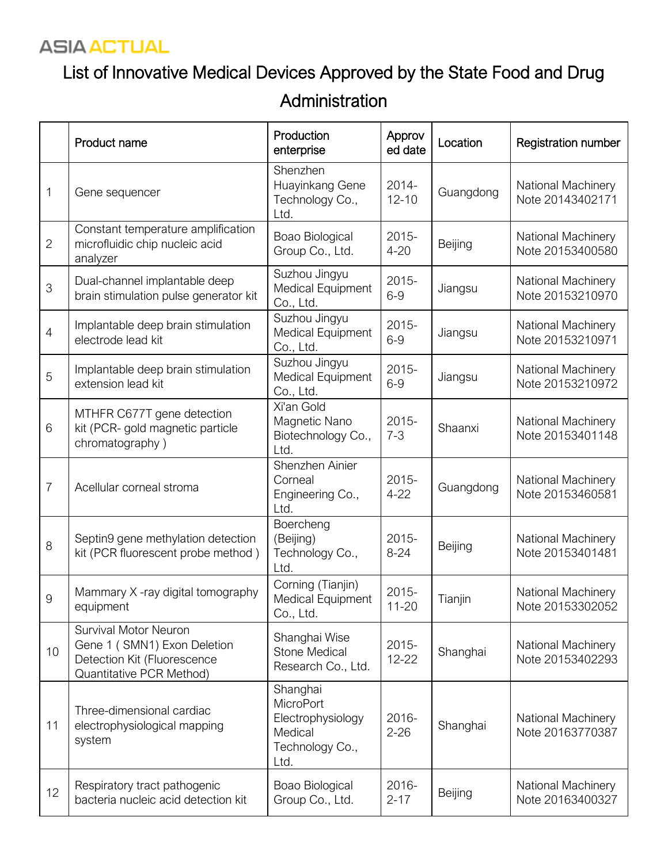#### **ASIA ACTUAL**

# List of Innovative Medical Devices Approved by the State Food and Drug

#### Administration

|                | Product name                                                                                                    | Production<br>enterprise                                                                | Approv<br>ed date     | Location  | <b>Registration number</b>             |
|----------------|-----------------------------------------------------------------------------------------------------------------|-----------------------------------------------------------------------------------------|-----------------------|-----------|----------------------------------------|
| 1              | Gene sequencer                                                                                                  | Shenzhen<br>Huayinkang Gene<br>Technology Co.,<br>Ltd.                                  | 2014-<br>$12 - 10$    | Guangdong | National Machinery<br>Note 20143402171 |
| $\mathbf{2}$   | Constant temperature amplification<br>microfluidic chip nucleic acid<br>analyzer                                | Boao Biological<br>Group Co., Ltd.                                                      | 2015-<br>$4 - 20$     | Beijing   | National Machinery<br>Note 20153400580 |
| 3              | Dual-channel implantable deep<br>brain stimulation pulse generator kit                                          | Suzhou Jingyu<br>Medical Equipment<br>Co., Ltd.                                         | 2015-<br>$6-9$        | Jiangsu   | National Machinery<br>Note 20153210970 |
| $\overline{4}$ | Implantable deep brain stimulation<br>electrode lead kit                                                        | Suzhou Jingyu<br>Medical Equipment<br>Co., Ltd.                                         | $2015 -$<br>$6-9$     | Jiangsu   | National Machinery<br>Note 20153210971 |
| 5              | Implantable deep brain stimulation<br>extension lead kit                                                        | Suzhou Jingyu<br><b>Medical Equipment</b><br>Co., Ltd.                                  | 2015-<br>$6-9$        | Jiangsu   | National Machinery<br>Note 20153210972 |
| 6              | MTHFR C677T gene detection<br>kit (PCR- gold magnetic particle<br>chromatography)                               | Xi'an Gold<br>Magnetic Nano<br>Biotechnology Co.,<br>Ltd.                               | 2015-<br>$7 - 3$      | Shaanxi   | National Machinery<br>Note 20153401148 |
| 7              | Acellular corneal stroma                                                                                        | Shenzhen Ainier<br>Corneal<br>Engineering Co.,<br>Ltd.                                  | 2015-<br>$4 - 22$     | Guangdong | National Machinery<br>Note 20153460581 |
| 8              | Septin9 gene methylation detection<br>kit (PCR fluorescent probe method)                                        | Boercheng<br>(Beijing)<br>Technology Co.,<br>Ltd.                                       | 2015-<br>$8 - 24$     | Beijing   | National Machinery<br>Note 20153401481 |
| $\overline{9}$ | Mammary X -ray digital tomography<br>equipment                                                                  | Corning (Tianjin)<br>Medical Equipment<br>Co., Ltd.                                     | 2015-<br>$11 - 20$    | Tianjin   | National Machinery<br>Note 20153302052 |
| 10             | Survival Motor Neuron<br>Gene 1 (SMN1) Exon Deletion<br>Detection Kit (Fluorescence<br>Quantitative PCR Method) | Shanghai Wise<br><b>Stone Medical</b><br>Research Co., Ltd.                             | $2015 -$<br>$12 - 22$ | Shanghai  | National Machinery<br>Note 20153402293 |
| 11             | Three-dimensional cardiac<br>electrophysiological mapping<br>system                                             | Shanghai<br><b>MicroPort</b><br>Electrophysiology<br>Medical<br>Technology Co.,<br>Ltd. | 2016-<br>$2 - 26$     | Shanghai  | National Machinery<br>Note 20163770387 |
| 12             | Respiratory tract pathogenic<br>bacteria nucleic acid detection kit                                             | Boao Biological<br>Group Co., Ltd.                                                      | 2016-<br>$2 - 17$     | Beijing   | National Machinery<br>Note 20163400327 |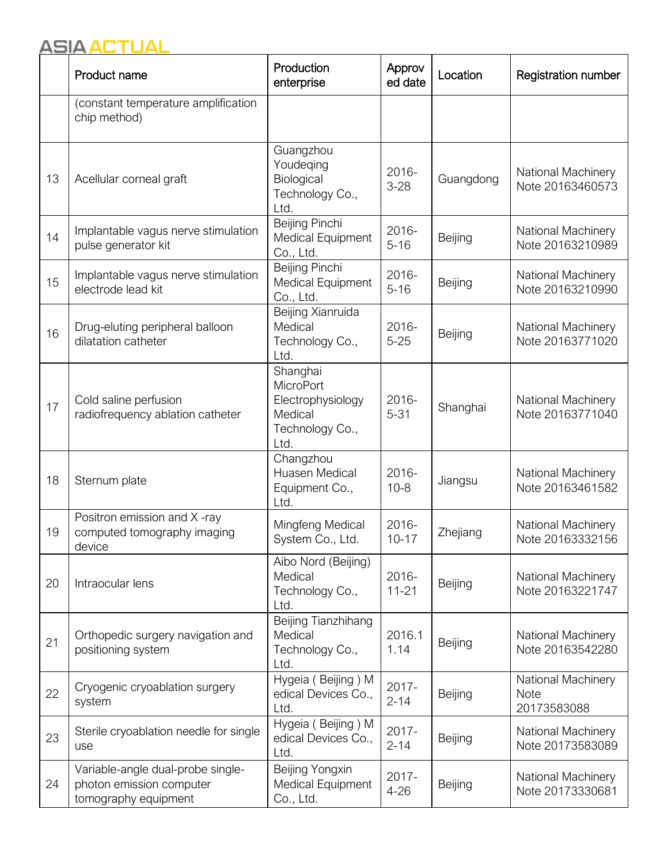### **ASIA ACTUAL**

|    | Product name                                                                          | Production<br>enterprise                                                         | Approv<br>ed date    | Location  | <b>Registration number</b>                       |
|----|---------------------------------------------------------------------------------------|----------------------------------------------------------------------------------|----------------------|-----------|--------------------------------------------------|
|    | (constant temperature amplification<br>chip method)                                   |                                                                                  |                      |           |                                                  |
| 13 | Acellular corneal graft                                                               | Guangzhou<br>Youdeging<br>Biological<br>Technology Co.,<br>Ltd.                  | 2016-<br>$3 - 28$    | Guangdong | National Machinery<br>Note 20163460573           |
| 14 | Implantable vagus nerve stimulation<br>pulse generator kit                            | Beijing Pinchi<br>Medical Equipment<br>Co., Ltd.                                 | 2016-<br>$5 - 16$    | Beijing   | National Machinery<br>Note 20163210989           |
| 15 | Implantable vagus nerve stimulation<br>electrode lead kit                             | Beijing Pinchi<br>Medical Equipment<br>Co., Ltd.                                 | 2016-<br>$5 - 16$    | Beijing   | National Machinery<br>Note 20163210990           |
| 16 | Drug-eluting peripheral balloon<br>dilatation catheter                                | Beijing Xianruida<br>Medical<br>Technology Co.,<br>Ltd.                          | 2016-<br>$5 - 25$    | Beijing   | National Machinery<br>Note 20163771020           |
| 17 | Cold saline perfusion<br>radiofrequency ablation catheter                             | Shanghai<br>MicroPort<br>Electrophysiology<br>Medical<br>Technology Co.,<br>Ltd. | 2016-<br>$5 - 31$    | Shanghai  | National Machinery<br>Note 20163771040           |
| 18 | Sternum plate                                                                         | Changzhou<br>Huasen Medical<br>Equipment Co.,<br>Ltd.                            | 2016-<br>$10 - 8$    | Jiangsu   | National Machinery<br>Note 20163461582           |
| 19 | Positron emission and X-ray<br>computed tomography imaging<br>device                  | Mingfeng Medical<br>System Co., Ltd.                                             | 2016-<br>$10 - 17$   | Zhejiang  | National Machinery<br>Note 20163332156           |
| 20 | Intraocular lens                                                                      | Aibo Nord (Beijing)<br>Medical<br>Technology Co.,<br>Ltd.                        | 2016-<br>$11 - 21$   | Beijing   | National Machinery<br>Note 20163221747           |
| 21 | Orthopedic surgery navigation and<br>positioning system                               | Beijing Tianzhihang<br>Medical<br>Technology Co.,<br>Ltd.                        | 2016.1<br>1.14       | Beijing   | National Machinery<br>Note 20163542280           |
| 22 | Cryogenic cryoablation surgery<br>system                                              | Hygeia (Beijing) M<br>edical Devices Co.,<br>Ltd.                                | 2017-<br>$2 - 14$    | Beijing   | National Machinery<br><b>Note</b><br>20173583088 |
| 23 | Sterile cryoablation needle for single<br>use                                         | Hygeia (Beijing) M<br>edical Devices Co.,<br>Ltd.                                | 2017-<br>$2 - 14$    | Beijing   | National Machinery<br>Note 20173583089           |
| 24 | Variable-angle dual-probe single-<br>photon emission computer<br>tomography equipment | Beijing Yongxin<br>Medical Equipment<br>Co., Ltd.                                | $2017 -$<br>$4 - 26$ | Beijing   | National Machinery<br>Note 20173330681           |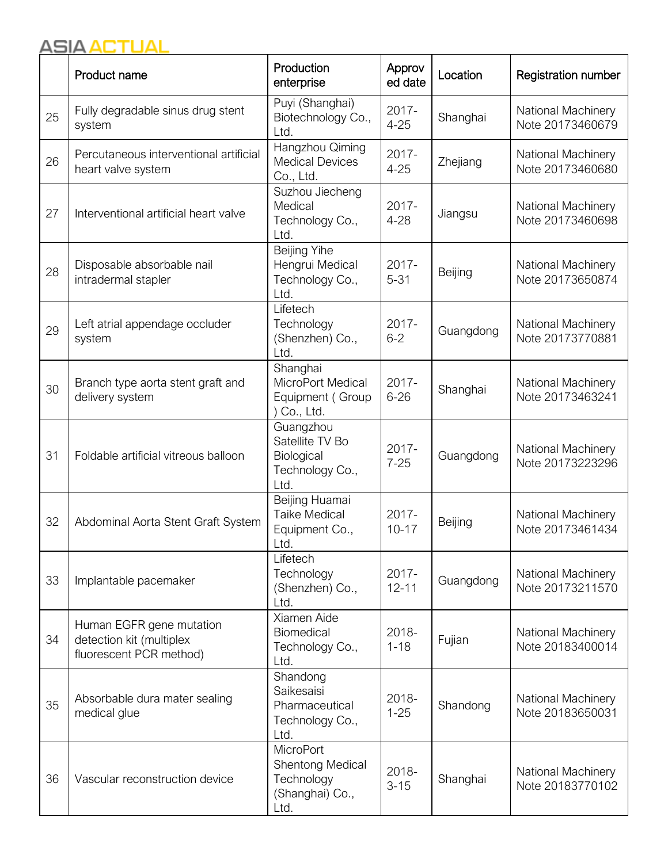|    | Product name                                                                    | Production<br>enterprise                                                      | Approv<br>ed date  | Location  | <b>Registration number</b>                    |
|----|---------------------------------------------------------------------------------|-------------------------------------------------------------------------------|--------------------|-----------|-----------------------------------------------|
| 25 | Fully degradable sinus drug stent<br>system                                     | Puyi (Shanghai)<br>Biotechnology Co.,<br>Ltd.                                 | 2017-<br>$4 - 25$  | Shanghai  | National Machinery<br>Note 20173460679        |
| 26 | Percutaneous interventional artificial<br>heart valve system                    | Hangzhou Qiming<br><b>Medical Devices</b><br>Co., Ltd.                        | 2017-<br>$4 - 25$  | Zhejiang  | National Machinery<br>Note 20173460680        |
| 27 | Interventional artificial heart valve                                           | Suzhou Jiecheng<br>Medical<br>Technology Co.,<br>Ltd.                         | 2017-<br>$4 - 28$  | Jiangsu   | National Machinery<br>Note 20173460698        |
| 28 | Disposable absorbable nail<br>intradermal stapler                               | <b>Beijing Yihe</b><br>Hengrui Medical<br>Technology Co.,<br>Ltd.             | 2017-<br>$5 - 31$  | Beijing   | National Machinery<br>Note 20173650874        |
| 29 | Left atrial appendage occluder<br>system                                        | Lifetech<br>Technology<br>(Shenzhen) Co.,<br>Ltd.                             | 2017-<br>$6 - 2$   | Guangdong | National Machinery<br>Note 20173770881        |
| 30 | Branch type aorta stent graft and<br>delivery system                            | Shanghai<br>MicroPort Medical<br>Equipment (Group<br>Co., Ltd.                | 2017-<br>$6 - 26$  | Shanghai  | National Machinery<br>Note 20173463241        |
| 31 | Foldable artificial vitreous balloon                                            | Guangzhou<br>Satellite TV Bo<br>Biological<br>Technology Co.,<br>Ltd.         | 2017-<br>$7 - 25$  | Guangdong | National Machinery<br>Note 20173223296        |
| 32 | Abdominal Aorta Stent Graft System                                              | Beijing Huamai<br><b>Taike Medical</b><br>Equipment Co.,<br>Ltd.              | 2017-<br>$10 - 17$ | Beijing   | National Machinery<br>Note 20173461434        |
| 33 | Implantable pacemaker                                                           | Lifetech<br>Technology<br>(Shenzhen) Co.,<br>Ltd.                             | 2017-<br>$12 - 11$ | Guangdong | <b>National Machinery</b><br>Note 20173211570 |
| 34 | Human EGFR gene mutation<br>detection kit (multiplex<br>fluorescent PCR method) | Xiamen Aide<br>Biomedical<br>Technology Co.,<br>Ltd.                          | 2018-<br>$1 - 18$  | Fujian    | <b>National Machinery</b><br>Note 20183400014 |
| 35 | Absorbable dura mater sealing<br>medical glue                                   | Shandong<br>Saikesaisi<br>Pharmaceutical<br>Technology Co.,<br>Ltd.           | 2018-<br>$1 - 25$  | Shandong  | National Machinery<br>Note 20183650031        |
| 36 | Vascular reconstruction device                                                  | <b>MicroPort</b><br>Shentong Medical<br>Technology<br>(Shanghai) Co.,<br>Ltd. | 2018-<br>$3 - 15$  | Shanghai  | National Machinery<br>Note 20183770102        |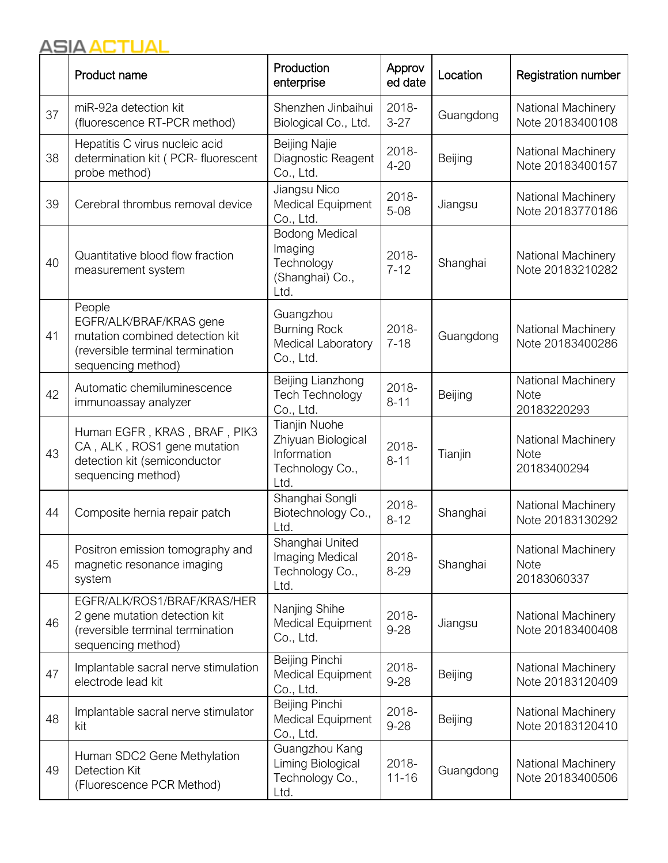|    | Product name                                                                                                                   | Production<br>enterprise                                                             | Approv<br>ed date  | Location  | <b>Registration number</b>                       |
|----|--------------------------------------------------------------------------------------------------------------------------------|--------------------------------------------------------------------------------------|--------------------|-----------|--------------------------------------------------|
| 37 | miR-92a detection kit<br>(fluorescence RT-PCR method)                                                                          | Shenzhen Jinbaihui<br>Biological Co., Ltd.                                           | 2018-<br>$3 - 27$  | Guangdong | National Machinery<br>Note 20183400108           |
| 38 | Hepatitis C virus nucleic acid<br>determination kit ( PCR- fluorescent<br>probe method)                                        | Beijing Najie<br>Diagnostic Reagent<br>Co., Ltd.                                     | 2018-<br>$4 - 20$  | Beijing   | National Machinery<br>Note 20183400157           |
| 39 | Cerebral thrombus removal device                                                                                               | Jiangsu Nico<br>Medical Equipment<br>Co., Ltd.                                       | 2018-<br>$5 - 08$  | Jiangsu   | National Machinery<br>Note 20183770186           |
| 40 | Quantitative blood flow fraction<br>measurement system                                                                         | <b>Bodong Medical</b><br>Imaging<br>Technology<br>(Shanghai) Co.,<br>Ltd.            | 2018-<br>$7 - 12$  | Shanghai  | <b>National Machinery</b><br>Note 20183210282    |
| 41 | People<br>EGFR/ALK/BRAF/KRAS gene<br>mutation combined detection kit<br>(reversible terminal termination<br>sequencing method) | Guangzhou<br><b>Burning Rock</b><br>Medical Laboratory<br>Co., Ltd.                  | 2018-<br>$7 - 18$  | Guangdong | National Machinery<br>Note 20183400286           |
| 42 | Automatic chemiluminescence<br>immunoassay analyzer                                                                            | Beijing Lianzhong<br><b>Tech Technology</b><br>Co., Ltd.                             | 2018-<br>$8 - 11$  | Beijing   | National Machinery<br><b>Note</b><br>20183220293 |
| 43 | Human EGFR, KRAS, BRAF, PIK3<br>CA, ALK, ROS1 gene mutation<br>detection kit (semiconductor<br>sequencing method)              | <b>Tianjin Nuohe</b><br>Zhiyuan Biological<br>Information<br>Technology Co.,<br>Ltd. | 2018-<br>$8 - 11$  | Tianjin   | National Machinery<br><b>Note</b><br>20183400294 |
| 44 | Composite hernia repair patch                                                                                                  | Shanghai Songli<br>Biotechnology Co.,<br>Ltd.                                        | 2018-<br>$8 - 12$  | Shanghai  | National Machinery<br>Note 20183130292           |
| 45 | Positron emission tomography and<br>magnetic resonance imaging<br>system                                                       | Shanghai United<br>Imaging Medical<br>Technology Co.,<br>Ltd.                        | 2018-<br>$8 - 29$  | Shanghai  | National Machinery<br><b>Note</b><br>20183060337 |
| 46 | EGFR/ALK/ROS1/BRAF/KRAS/HER<br>2 gene mutation detection kit<br>(reversible terminal termination<br>sequencing method)         | Nanjing Shihe<br><b>Medical Equipment</b><br>Co., Ltd.                               | 2018-<br>$9 - 28$  | Jiangsu   | National Machinery<br>Note 20183400408           |
| 47 | Implantable sacral nerve stimulation<br>electrode lead kit                                                                     | Beijing Pinchi<br>Medical Equipment<br>Co., Ltd.                                     | 2018-<br>$9 - 28$  | Beijing   | National Machinery<br>Note 20183120409           |
| 48 | Implantable sacral nerve stimulator<br>kit                                                                                     | Beijing Pinchi<br>Medical Equipment<br>Co., Ltd.                                     | 2018-<br>$9 - 28$  | Beijing   | National Machinery<br>Note 20183120410           |
| 49 | Human SDC2 Gene Methylation<br><b>Detection Kit</b><br>(Fluorescence PCR Method)                                               | Guangzhou Kang<br>Liming Biological<br>Technology Co.,<br>Ltd.                       | 2018-<br>$11 - 16$ | Guangdong | <b>National Machinery</b><br>Note 20183400506    |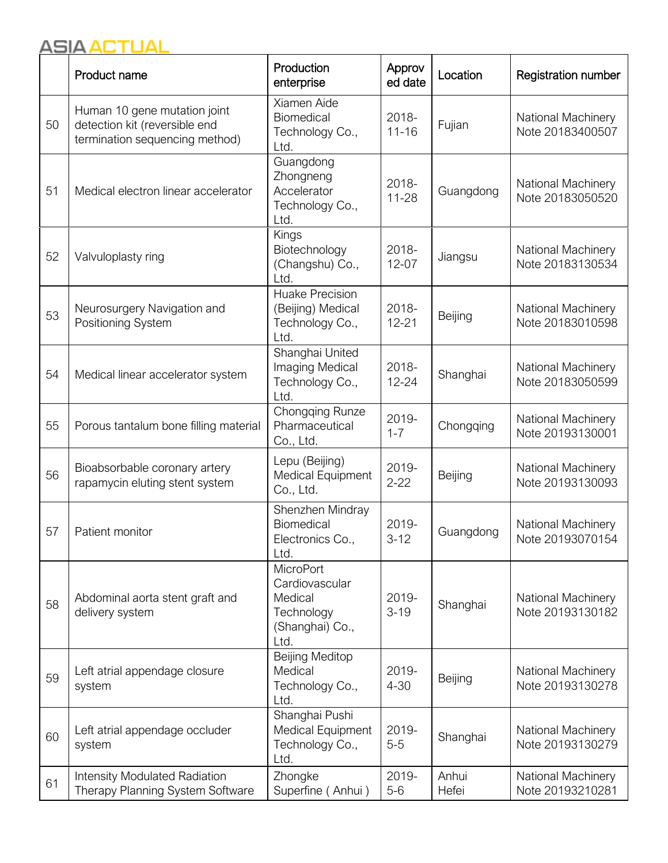|    | Product name                                                                                    | Production<br>enterprise                                                               | Approv<br>ed date  | Location       | <b>Registration number</b>                    |
|----|-------------------------------------------------------------------------------------------------|----------------------------------------------------------------------------------------|--------------------|----------------|-----------------------------------------------|
| 50 | Human 10 gene mutation joint<br>detection kit (reversible end<br>termination sequencing method) | Xiamen Aide<br><b>Biomedical</b><br>Technology Co.,<br>Ltd.                            | 2018-<br>$11 - 16$ | Fujian         | National Machinery<br>Note 20183400507        |
| 51 | Medical electron linear accelerator                                                             | Guangdong<br>Zhongneng<br>Accelerator<br>Technology Co.,<br>Ltd.                       | 2018-<br>$11 - 28$ | Guangdong      | National Machinery<br>Note 20183050520        |
| 52 | Valvuloplasty ring                                                                              | Kings<br>Biotechnology<br>(Changshu) Co.,<br>Ltd.                                      | 2018-<br>$12 - 07$ | Jiangsu        | National Machinery<br>Note 20183130534        |
| 53 | Neurosurgery Navigation and<br>Positioning System                                               | Huake Precision<br>(Beijing) Medical<br>Technology Co.,<br>Ltd.                        | 2018-<br>$12 - 21$ | Beijing        | National Machinery<br>Note 20183010598        |
| 54 | Medical linear accelerator system                                                               | Shanghai United<br>Imaging Medical<br>Technology Co.,<br>Ltd.                          | 2018-<br>$12 - 24$ | Shanghai       | National Machinery<br>Note 20183050599        |
| 55 | Porous tantalum bone filling material                                                           | Chongqing Runze<br>Pharmaceutical<br>Co., Ltd.                                         | 2019-<br>$1 - 7$   | Chongqing      | National Machinery<br>Note 20193130001        |
| 56 | Bioabsorbable coronary artery<br>rapamycin eluting stent system                                 | Lepu (Beijing)<br>Medical Equipment<br>Co., Ltd.                                       | 2019-<br>$2 - 22$  | Beijing        | National Machinery<br>Note 20193130093        |
| 57 | Patient monitor                                                                                 | Shenzhen Mindray<br>Biomedical<br>Electronics Co.,<br>Ltd.                             | 2019-<br>$3 - 12$  | Guangdong      | National Machinery<br>Note 20193070154        |
| 58 | Abdominal aorta stent graft and<br>delivery system                                              | <b>MicroPort</b><br>Cardiovascular<br>Medical<br>Technology<br>(Shanghai) Co.,<br>Ltd. | 2019-<br>$3 - 19$  | Shanghai       | National Machinery<br>Note 20193130182        |
| 59 | Left atrial appendage closure<br>system                                                         | <b>Beijing Meditop</b><br>Medical<br>Technology Co.,<br>Ltd.                           | 2019-<br>$4 - 30$  | Beijing        | <b>National Machinery</b><br>Note 20193130278 |
| 60 | Left atrial appendage occluder<br>system                                                        | Shanghai Pushi<br>Medical Equipment<br>Technology Co.,<br>Ltd.                         | 2019-<br>$5-5$     | Shanghai       | National Machinery<br>Note 20193130279        |
| 61 | <b>Intensity Modulated Radiation</b><br>Therapy Planning System Software                        | Zhongke<br>Superfine (Anhui)                                                           | 2019-<br>$5-6$     | Anhui<br>Hefei | National Machinery<br>Note 20193210281        |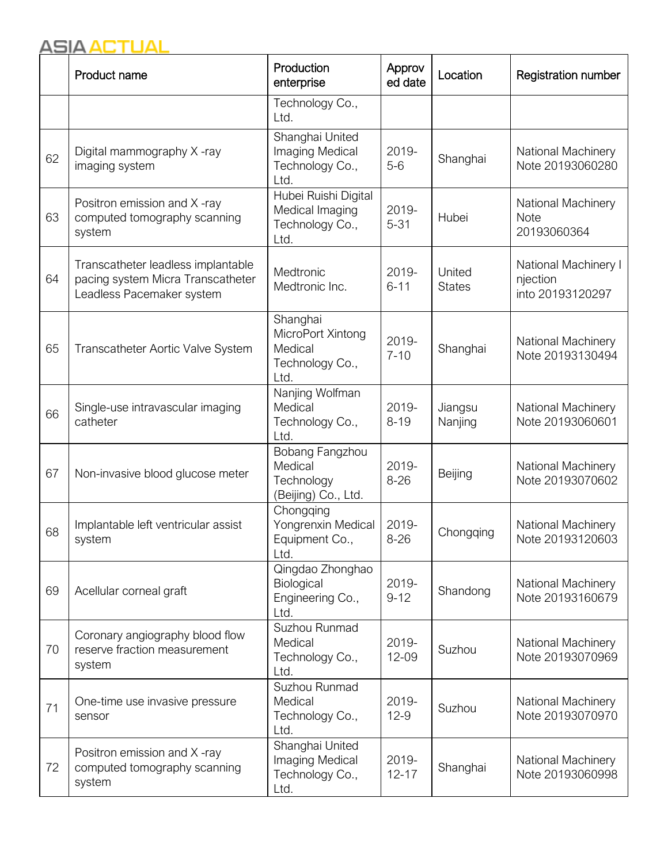|    | Product name                                                                                         | Production<br>enterprise                                            | Approv<br>ed date  | Location                | <b>Registration number</b>                           |
|----|------------------------------------------------------------------------------------------------------|---------------------------------------------------------------------|--------------------|-------------------------|------------------------------------------------------|
|    |                                                                                                      | Technology Co.,<br>Ltd.                                             |                    |                         |                                                      |
| 62 | Digital mammography X-ray<br>imaging system                                                          | Shanghai United<br>Imaging Medical<br>Technology Co.,<br>Ltd.       | 2019-<br>$5-6$     | Shanghai                | National Machinery<br>Note 20193060280               |
| 63 | Positron emission and X-ray<br>computed tomography scanning<br>system                                | Hubei Ruishi Digital<br>Medical Imaging<br>Technology Co.,<br>Ltd.  | 2019-<br>$5 - 31$  | Hubei                   | National Machinery<br><b>Note</b><br>20193060364     |
| 64 | Transcatheter leadless implantable<br>pacing system Micra Transcatheter<br>Leadless Pacemaker system | Medtronic<br>Medtronic Inc.                                         | 2019-<br>$6 - 11$  | United<br><b>States</b> | National Machinery I<br>njection<br>into 20193120297 |
| 65 | Transcatheter Aortic Valve System                                                                    | Shanghai<br>MicroPort Xintong<br>Medical<br>Technology Co.,<br>Ltd. | 2019-<br>$7 - 10$  | Shanghai                | National Machinery<br>Note 20193130494               |
| 66 | Single-use intravascular imaging<br>catheter                                                         | Nanjing Wolfman<br>Medical<br>Technology Co.,<br>Ltd.               | 2019-<br>$8 - 19$  | Jiangsu<br>Nanjing      | National Machinery<br>Note 20193060601               |
| 67 | Non-invasive blood glucose meter                                                                     | Bobang Fangzhou<br>Medical<br>Technology<br>(Beijing) Co., Ltd.     | 2019-<br>$8 - 26$  | Beijing                 | National Machinery<br>Note 20193070602               |
| 68 | Implantable left ventricular assist<br>system                                                        | Chongqing<br>Yongrenxin Medical<br>Equipment Co.,<br>Ltd.           | 2019-<br>$8 - 26$  | Chongqing               | National Machinery<br>Note 20193120603               |
| 69 | Acellular corneal graft                                                                              | Qingdao Zhonghao<br>Biological<br>Engineering Co.,<br>Ltd.          | 2019-<br>$9 - 12$  | Shandong                | National Machinery<br>Note 20193160679               |
| 70 | Coronary angiography blood flow<br>reserve fraction measurement<br>system                            | Suzhou Runmad<br>Medical<br>Technology Co.,<br>Ltd.                 | 2019-<br>12-09     | Suzhou                  | National Machinery<br>Note 20193070969               |
| 71 | One-time use invasive pressure<br>sensor                                                             | Suzhou Runmad<br>Medical<br>Technology Co.,<br>Ltd.                 | 2019-<br>$12-9$    | Suzhou                  | National Machinery<br>Note 20193070970               |
| 72 | Positron emission and X-ray<br>computed tomography scanning<br>system                                | Shanghai United<br>Imaging Medical<br>Technology Co.,<br>Ltd.       | 2019-<br>$12 - 17$ | Shanghai                | National Machinery<br>Note 20193060998               |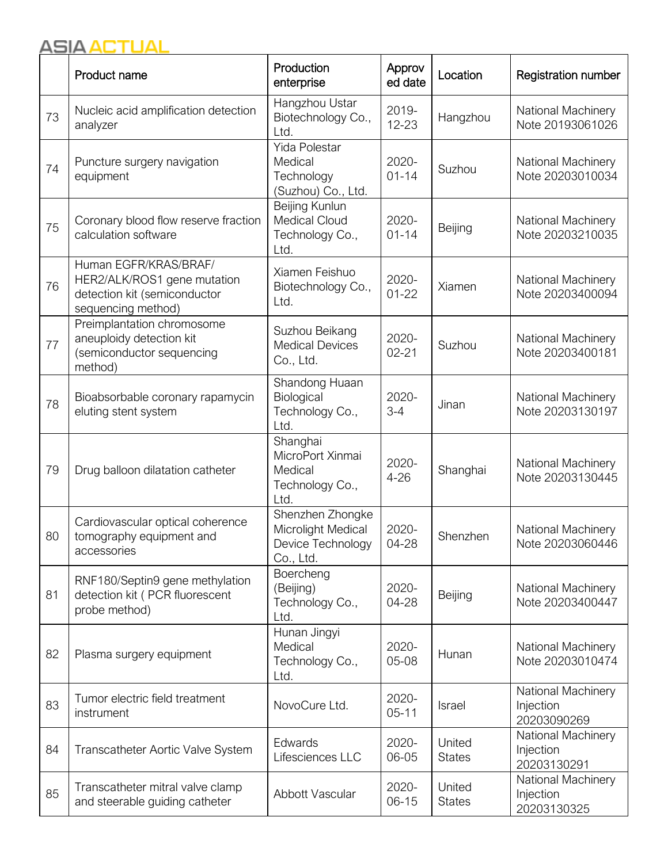|    | Product name                                                                                               | Production<br>enterprise                                                 | Approv<br>ed date  | Location                | <b>Registration number</b>                     |
|----|------------------------------------------------------------------------------------------------------------|--------------------------------------------------------------------------|--------------------|-------------------------|------------------------------------------------|
| 73 | Nucleic acid amplification detection<br>analyzer                                                           | Hangzhou Ustar<br>Biotechnology Co.,<br>Ltd.                             | 2019-<br>12-23     | Hangzhou                | National Machinery<br>Note 20193061026         |
| 74 | Puncture surgery navigation<br>equipment                                                                   | <b>Yida Polestar</b><br>Medical<br>Technology<br>(Suzhou) Co., Ltd.      | 2020-<br>$01 - 14$ | Suzhou                  | National Machinery<br>Note 20203010034         |
| 75 | Coronary blood flow reserve fraction<br>calculation software                                               | Beijing Kunlun<br><b>Medical Cloud</b><br>Technology Co.,<br>Ltd.        | 2020-<br>$01 - 14$ | Beijing                 | National Machinery<br>Note 20203210035         |
| 76 | Human EGFR/KRAS/BRAF/<br>HER2/ALK/ROS1 gene mutation<br>detection kit (semiconductor<br>sequencing method) | Xiamen Feishuo<br>Biotechnology Co.,<br>Ltd.                             | 2020-<br>$01 - 22$ | Xiamen                  | National Machinery<br>Note 20203400094         |
| 77 | Preimplantation chromosome<br>aneuploidy detection kit<br>(semiconductor sequencing<br>method)             | Suzhou Beikang<br><b>Medical Devices</b><br>Co., Ltd.                    | 2020-<br>$02 - 21$ | Suzhou                  | National Machinery<br>Note 20203400181         |
| 78 | Bioabsorbable coronary rapamycin<br>eluting stent system                                                   | Shandong Huaan<br>Biological<br>Technology Co.,<br>Ltd.                  | 2020-<br>$3 - 4$   | Jinan                   | National Machinery<br>Note 20203130197         |
| 79 | Drug balloon dilatation catheter                                                                           | Shanghai<br>MicroPort Xinmai<br>Medical<br>Technology Co.,<br>Ltd.       | 2020-<br>$4 - 26$  | Shanghai                | National Machinery<br>Note 20203130445         |
| 80 | Cardiovascular optical coherence<br>tomography equipment and<br>accessories                                | Shenzhen Zhongke<br>Microlight Medical<br>Device Technology<br>Co., Ltd. | 2020-<br>04-28     | Shenzhen                | National Machinery<br>Note 20203060446         |
| 81 | RNF180/Septin9 gene methylation<br>detection kit (PCR fluorescent<br>probe method)                         | Boercheng<br>(Beijing)<br>Technology Co.,<br>Ltd.                        | 2020-<br>04-28     | Beijing                 | National Machinery<br>Note 20203400447         |
| 82 | Plasma surgery equipment                                                                                   | Hunan Jingyi<br>Medical<br>Technology Co.,<br>Ltd.                       | 2020-<br>05-08     | Hunan                   | National Machinery<br>Note 20203010474         |
| 83 | Tumor electric field treatment<br>instrument                                                               | NovoCure Ltd.                                                            | 2020-<br>$05 - 11$ | Israel                  | National Machinery<br>Injection<br>20203090269 |
| 84 | Transcatheter Aortic Valve System                                                                          | Edwards<br>Lifesciences LLC                                              | 2020-<br>06-05     | United<br><b>States</b> | National Machinery<br>Injection<br>20203130291 |
| 85 | Transcatheter mitral valve clamp<br>and steerable guiding catheter                                         | Abbott Vascular                                                          | 2020-<br>$06 - 15$ | United<br><b>States</b> | National Machinery<br>Injection<br>20203130325 |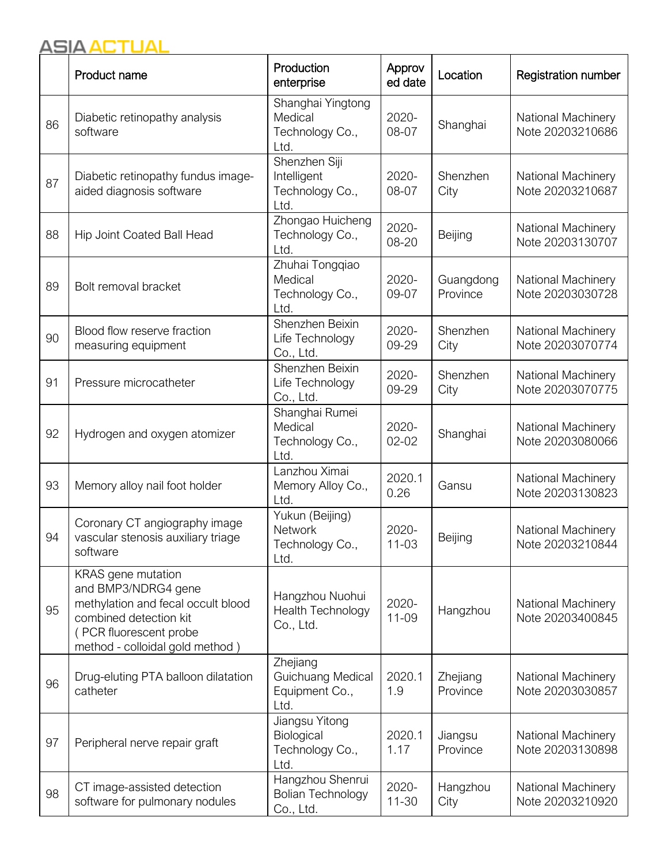|    | Product name                                                                                                                                                           | Production<br>enterprise                                  | Approv<br>ed date  | Location              | <b>Registration number</b>             |
|----|------------------------------------------------------------------------------------------------------------------------------------------------------------------------|-----------------------------------------------------------|--------------------|-----------------------|----------------------------------------|
| 86 | Diabetic retinopathy analysis<br>software                                                                                                                              | Shanghai Yingtong<br>Medical<br>Technology Co.,<br>Ltd.   | 2020-<br>08-07     | Shanghai              | National Machinery<br>Note 20203210686 |
| 87 | Diabetic retinopathy fundus image-<br>aided diagnosis software                                                                                                         | Shenzhen Siji<br>Intelligent<br>Technology Co.,<br>Ltd.   | 2020-<br>08-07     | Shenzhen<br>City      | National Machinery<br>Note 20203210687 |
| 88 | <b>Hip Joint Coated Ball Head</b>                                                                                                                                      | Zhongao Huicheng<br>Technology Co.,<br>Ltd.               | 2020-<br>08-20     | Beijing               | National Machinery<br>Note 20203130707 |
| 89 | Bolt removal bracket                                                                                                                                                   | Zhuhai Tongqiao<br>Medical<br>Technology Co.,<br>Ltd.     | 2020-<br>09-07     | Guangdong<br>Province | National Machinery<br>Note 20203030728 |
| 90 | Blood flow reserve fraction<br>measuring equipment                                                                                                                     | Shenzhen Beixin<br>Life Technology<br>Co., Ltd.           | 2020-<br>09-29     | Shenzhen<br>City      | National Machinery<br>Note 20203070774 |
| 91 | Pressure microcatheter                                                                                                                                                 | Shenzhen Beixin<br>Life Technology<br>Co., Ltd.           | 2020-<br>09-29     | Shenzhen<br>City      | National Machinery<br>Note 20203070775 |
| 92 | Hydrogen and oxygen atomizer                                                                                                                                           | Shanghai Rumei<br>Medical<br>Technology Co.,<br>Ltd.      | 2020-<br>$02 - 02$ | Shanghai              | National Machinery<br>Note 20203080066 |
| 93 | Memory alloy nail foot holder                                                                                                                                          | Lanzhou Ximai<br>Memory Alloy Co.,<br>Ltd.                | 2020.1<br>0.26     | Gansu                 | National Machinery<br>Note 20203130823 |
| 94 | Coronary CT angiography image<br>vascular stenosis auxiliary triage<br>software                                                                                        | Yukun (Beijing)<br>Network<br>Technology Co.,<br>Ltd.     | 2020-<br>$11 - 03$ | Beijing               | National Machinery<br>Note 20203210844 |
| 95 | KRAS gene mutation<br>and BMP3/NDRG4 gene<br>methylation and fecal occult blood<br>combined detection kit<br>(PCR fluorescent probe<br>method - colloidal gold method) | Hangzhou Nuohui<br>Health Technology<br>Co., Ltd.         | 2020-<br>11-09     | Hangzhou              | National Machinery<br>Note 20203400845 |
| 96 | Drug-eluting PTA balloon dilatation<br>catheter                                                                                                                        | Zhejiang<br>Guichuang Medical<br>Equipment Co.,<br>Ltd.   | 2020.1<br>1.9      | Zhejiang<br>Province  | National Machinery<br>Note 20203030857 |
| 97 | Peripheral nerve repair graft                                                                                                                                          | Jiangsu Yitong<br>Biological<br>Technology Co.,<br>Ltd.   | 2020.1<br>1.17     | Jiangsu<br>Province   | National Machinery<br>Note 20203130898 |
| 98 | CT image-assisted detection<br>software for pulmonary nodules                                                                                                          | Hangzhou Shenrui<br><b>Bolian Technology</b><br>Co., Ltd. | 2020-<br>$11 - 30$ | Hangzhou<br>City      | National Machinery<br>Note 20203210920 |